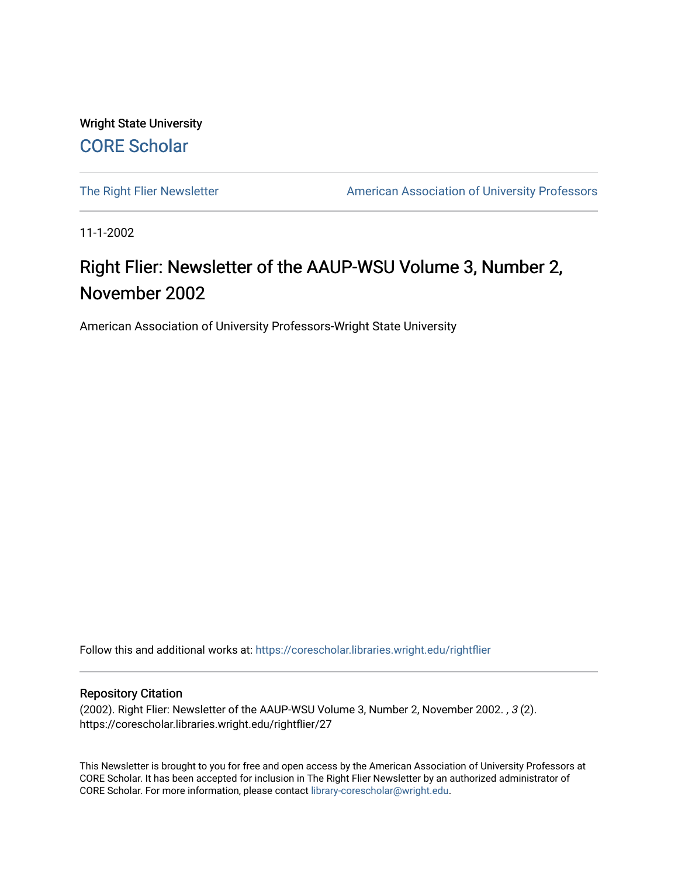Wright State University [CORE Scholar](https://corescholar.libraries.wright.edu/)

[The Right Flier Newsletter](https://corescholar.libraries.wright.edu/rightflier) **American Association of University Professors** 

11-1-2002

# Right Flier: Newsletter of the AAUP-WSU Volume 3, Number 2, November 2002

American Association of University Professors-Wright State University

Follow this and additional works at: [https://corescholar.libraries.wright.edu/rightflier](https://corescholar.libraries.wright.edu/rightflier?utm_source=corescholar.libraries.wright.edu%2Frightflier%2F27&utm_medium=PDF&utm_campaign=PDFCoverPages) 

#### Repository Citation

(2002). Right Flier: Newsletter of the AAUP-WSU Volume 3, Number 2, November 2002. , 3 (2). https://corescholar.libraries.wright.edu/rightflier/27

This Newsletter is brought to you for free and open access by the American Association of University Professors at CORE Scholar. It has been accepted for inclusion in The Right Flier Newsletter by an authorized administrator of CORE Scholar. For more information, please contact [library-corescholar@wright.edu](mailto:library-corescholar@wright.edu).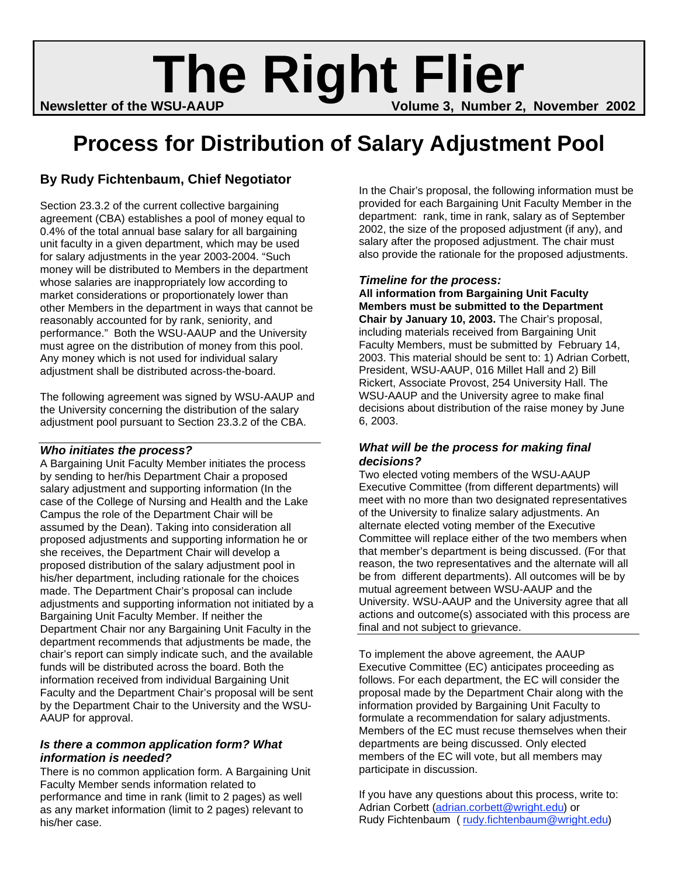# **Newsletter of the WSU-AAUP <b>Right Flier**<br>Newsletter of the WSU-AAUP

# **Process for Distribution of Salary Adjustment Pool**

## **By Rudy Fichtenbaum, Chief Negotiator**

Section 23.3.2 of the current collective bargaining agreement (CBA) establishes a pool of money equal to 0.4% of the total annual base salary for all bargaining unit faculty in a given department, which may be used for salary adjustments in the year 2003-2004. "Such money will be distributed to Members in the department whose salaries are inappropriately low according to market considerations or proportionately lower than other Members in the department in ways that cannot be reasonably accounted for by rank, seniority, and performance." Both the WSU-AAUP and the University must agree on the distribution of money from this pool. Any money which is not used for individual salary adjustment shall be distributed across-the-board.

The following agreement was signed by WSU-AAUP and the University concerning the distribution of the salary adjustment pool pursuant to Section 23.3.2 of the CBA.

## *Who initiates the process?*

A Bargaining Unit Faculty Member initiates the process by sending to her/his Department Chair a proposed salary adjustment and supporting information (In the case of the College of Nursing and Health and the Lake Campus the role of the Department Chair will be assumed by the Dean). Taking into consideration all proposed adjustments and supporting information he or she receives, the Department Chair will develop a proposed distribution of the salary adjustment pool in his/her department, including rationale for the choices made. The Department Chair's proposal can include adjustments and supporting information not initiated by a Bargaining Unit Faculty Member. If neither the Department Chair nor any Bargaining Unit Faculty in the department recommends that adjustments be made, the chair's report can simply indicate such, and the available funds will be distributed across the board. Both the information received from individual Bargaining Unit Faculty and the Department Chair's proposal will be sent by the Department Chair to the University and the WSU-AAUP for approval.

## *Is there a common application form? What information is needed?*

There is no common application form. A Bargaining Unit Faculty Member sends information related to performance and time in rank (limit to 2 pages) as well as any market information (limit to 2 pages) relevant to his/her case.

In the Chair's proposal, the following information must be provided for each Bargaining Unit Faculty Member in the department: rank, time in rank, salary as of September 2002, the size of the proposed adjustment (if any), and salary after the proposed adjustment. The chair must also provide the rationale for the proposed adjustments.

## *Timeline for the process:*

**All information from Bargaining Unit Faculty Members must be submitted to the Department Chair by January 10, 2003.** The Chair's proposal, including materials received from Bargaining Unit Faculty Members, must be submitted by February 14, 2003. This material should be sent to: 1) Adrian Corbett, President, WSU-AAUP, 016 Millet Hall and 2) Bill Rickert, Associate Provost, 254 University Hall. The WSU-AAUP and the University agree to make final decisions about distribution of the raise money by June 6, 2003.

### *What will be the process for making final decisions?*

Two elected voting members of the WSU-AAUP Executive Committee (from different departments) will meet with no more than two designated representatives of the University to finalize salary adjustments. An alternate elected voting member of the Executive Committee will replace either of the two members when that member's department is being discussed. (For that reason, the two representatives and the alternate will all be from different departments). All outcomes will be by mutual agreement between WSU-AAUP and the University. WSU-AAUP and the University agree that all actions and outcome(s) associated with this process are final and not subject to grievance.

To implement the above agreement, the AAUP Executive Committee (EC) anticipates proceeding as follows. For each department, the EC will consider the proposal made by the Department Chair along with the information provided by Bargaining Unit Faculty to formulate a recommendation for salary adjustments. Members of the EC must recuse themselves when their departments are being discussed. Only elected members of the EC will vote, but all members may participate in discussion.

If you have any questions about this process, write to: Adrian Corbett (adrian.corbett@wright.edu) or Rudy Fichtenbaum (rudy.fichtenbaum@wright.edu)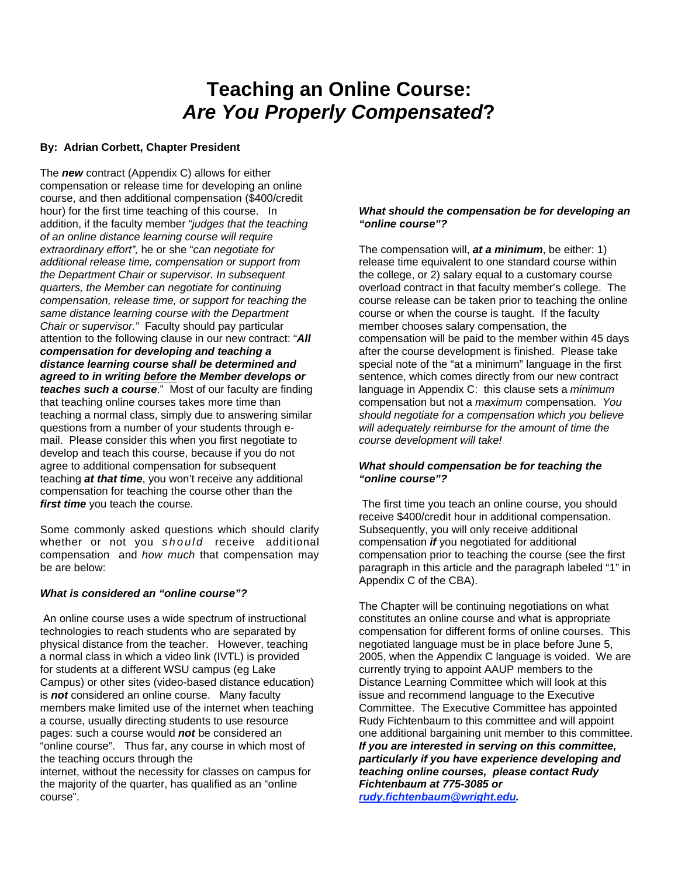# **Teaching an Online Course:** *Are You Properly Compensated***?**

#### **By: Adrian Corbett, Chapter President**

The *new* contract (Appendix C) allows for either compensation or release time for developing an online course, and then additional compensation (\$400/credit hour) for the first time teaching of this course. In addition, if the faculty member "*judges that the teaching of an online distance learning course will require extraordinary effort",* he or she "*can negotiate for additional release time, compensation or support from the Department Chair or supervisor. In subsequent quarters, the Member can negotiate for continuing compensation, release time, or support for teaching the same distance learning course with the Department Chair or supervisor."* Faculty should pay particular attention to the following clause in our new contract: "*All compensation for developing and teaching a distance learning course shall be determined and agreed to in writing before the Member develops or teaches such a course*." Most of our faculty are finding that teaching online courses takes more time than teaching a normal class, simply due to answering similar questions from a number of your students through email. Please consider this when you first negotiate to develop and teach this course, because if you do not agree to additional compensation for subsequent teaching *at that time*, you won't receive any additional compensation for teaching the course other than the *first time* you teach the course.

Some commonly asked questions which should clarify whether or not you *should* receive additional compensation and *how much* that compensation may be are below:

#### *What is considered an "online course"?*

course".

An online course uses a wide spectrum of instructional technologies to reach students who are separated by physical distance from the teacher. However, teaching a normal class in which a video link (IVTL) is provided for students at a different WSU campus (eg Lake Campus) or other sites (video-based distance education) is *not* considered an online course. Many faculty members make limited use of the internet when teaching a course, usually directing students to use resource pages: such a course would *not* be considered an "online course". Thus far, any course in which most of the teaching occurs through the internet, without the necessity for classes on campus for the majority of the quarter, has qualified as an "online

#### *What should the compensation be for developing an "online course"?*

The compensation will, *at a minimum*, be either: 1) release time equivalent to one standard course within the college, or 2) salary equal to a customary course overload contract in that faculty member's college. The course release can be taken prior to teaching the online course or when the course is taught. If the faculty member chooses salary compensation, the compensation will be paid to the member within 45 days after the course development is finished. Please take special note of the "at a minimum" language in the first sentence, which comes directly from our new contract language in Appendix C: this clause sets a *minimum*  compensation but not a *maximum* compensation. *You should negotiate for a compensation which you believe will adequately reimburse for the amount of time the course development will take!* 

#### *What should compensation be for teaching the "online course"?*

The first time you teach an online course, you should receive \$400/credit hour in additional compensation. Subsequently, you will only receive additional compensation *if* you negotiated for additional compensation prior to teaching the course (see the first paragraph in this article and the paragraph labeled "1" in Appendix C of the CBA).

The Chapter will be continuing negotiations on what constitutes an online course and what is appropriate compensation for different forms of online courses. This negotiated language must be in place before June 5, 2005, when the Appendix C language is voided. We are currently trying to appoint AAUP members to the Distance Learning Committee which will look at this issue and recommend language to the Executive Committee. The Executive Committee has appointed Rudy Fichtenbaum to this committee and will appoint one additional bargaining unit member to this committee. *If you are interested in serving on this committee, particularly if you have experience developing and teaching online courses, please contact Rudy Fichtenbaum at 775-3085 or* 

*rudy.fichtenbaum@wright.edu.*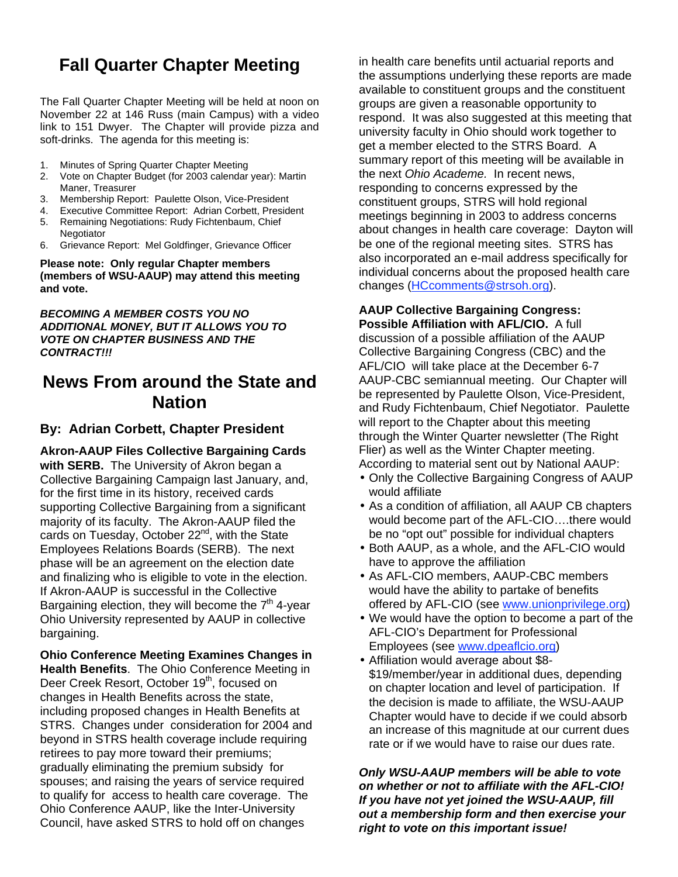## **Fall Quarter Chapter Meeting**

The Fall Quarter Chapter Meeting will be held at noon on November 22 at 146 Russ (main Campus) with a video link to 151 Dwyer. The Chapter will provide pizza and soft-drinks. The agenda for this meeting is:

- 1. Minutes of Spring Quarter Chapter Meeting
- 2. Vote on Chapter Budget (for 2003 calendar year): Martin Maner, Treasurer
- 3. Membership Report: Paulette Olson, Vice-President
- 4. Executive Committee Report: Adrian Corbett, President
- 5. Remaining Negotiations: Rudy Fichtenbaum, Chief **Negotiator**
- 6. Grievance Report: Mel Goldfinger, Grievance Officer

**Please note: Only regular Chapter members (members of WSU-AAUP) may attend this meeting and vote.** 

*BECOMING A MEMBER COSTS YOU NO ADDITIONAL MONEY, BUT IT ALLOWS YOU TO VOTE ON CHAPTER BUSINESS AND THE CONTRACT!!!* 

## **News From around the State and Nation**

## **By: Adrian Corbett, Chapter President**

**Akron-AAUP Files Collective Bargaining Cards with SERB.** The University of Akron began a Collective Bargaining Campaign last January, and, for the first time in its history, received cards supporting Collective Bargaining from a significant majority of its faculty. The Akron-AAUP filed the cards on Tuesday, October 22<sup>nd</sup>, with the State Employees Relations Boards (SERB). The next phase will be an agreement on the election date and finalizing who is eligible to vote in the election. If Akron-AAUP is successful in the Collective Bargaining election, they will become the  $7<sup>th</sup>$  4-year Ohio University represented by AAUP in collective bargaining.

**Ohio Conference Meeting Examines Changes in Health Benefits**. The Ohio Conference Meeting in Deer Creek Resort, October 19<sup>th</sup>, focused on changes in Health Benefits across the state, including proposed changes in Health Benefits at STRS. Changes under consideration for 2004 and beyond in STRS health coverage include requiring retirees to pay more toward their premiums; gradually eliminating the premium subsidy for spouses; and raising the years of service required to qualify for access to health care coverage. The Ohio Conference AAUP, like the Inter-University Council, have asked STRS to hold off on changes

in health care benefits until actuarial reports and the assumptions underlying these reports are made available to constituent groups and the constituent groups are given a reasonable opportunity to respond. It was also suggested at this meeting that university faculty in Ohio should work together to get a member elected to the STRS Board. A summary report of this meeting will be available in the next *Ohio Academe.* In recent news, responding to concerns expressed by the constituent groups, STRS will hold regional meetings beginning in 2003 to address concerns about changes in health care coverage: Dayton will be one of the regional meeting sites. STRS has also incorporated an e-mail address specifically for individual concerns about the proposed health care changes (HCcomments@strsoh.org).

## **AAUP Collective Bargaining Congress:**

**Possible Affiliation with AFL/CIO.** A full discussion of a possible affiliation of the AAUP Collective Bargaining Congress (CBC) and the AFL/CIO will take place at the December 6-7 AAUP-CBC semiannual meeting. Our Chapter will be represented by Paulette Olson, Vice-President, and Rudy Fichtenbaum, Chief Negotiator. Paulette will report to the Chapter about this meeting through the Winter Quarter newsletter (The Right Flier) as well as the Winter Chapter meeting. According to material sent out by National AAUP:

- Only the Collective Bargaining Congress of AAUP would affiliate
- As a condition of affiliation, all AAUP CB chapters would become part of the AFL-CIO….there would be no "opt out" possible for individual chapters
- Both AAUP, as a whole, and the AFL-CIO would have to approve the affiliation
- As AFL-CIO members, AAUP-CBC members would have the ability to partake of benefits offered by AFL-CIO (see www.unionprivilege.org)
- We would have the option to become a part of the AFL-CIO's Department for Professional Employees (see www.dpeaflcio.org)
- Affiliation would average about \$8- \$19/member/year in additional dues, depending on chapter location and level of participation. If the decision is made to affiliate, the WSU-AAUP Chapter would have to decide if we could absorb an increase of this magnitude at our current dues rate or if we would have to raise our dues rate.

*Only WSU-AAUP members will be able to vote on whether or not to affiliate with the AFL-CIO! If you have not yet joined the WSU-AAUP, fill out a membership form and then exercise your right to vote on this important issue!*